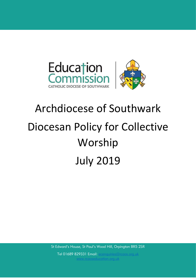

# Archdiocese of Southwark Diocesan Policy for Collective Worship July 2019

St Edward's House, St Paul's Wood Hill, Orpington BR5 2SR

1 [www.rcaoseducation.org.uk](file:///C:/Users/Claire/Downloads/www.rcaoseducation.org.uk) Tel 01689 829331 Email: [ecenquiries@rcaos.org.uk](mailto:ecenquiries@rcaos.org.uk)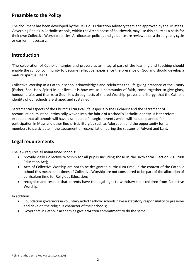### **Preamble to the Policy**

The document has been developed by the Religious Education Advisory team and approved by the Trustees. Governing Bodies in Catholic schools, within the Archdiocese of Southwark, may use this policy as a basis for their own Collective Worship policies. All diocesan policies and guidance are reviewed on a three-yearly cycle or earlier if necessary.

#### **Introduction**

'The celebration of Catholic liturgies and prayers as an integral part of the learning and teaching should enable the school community to become reflective, experience the presence of God and should develop a mature spiritual life.'1

Collective Worship in a Catholic school acknowledges and celebrates the life-giving presence of the Trinity (Father, Son, Holy Spirit) in our lives. It is how we, as a community of faith, come together to give glory, honour, praise and thanks to God. It is through acts of shared Worship, prayer and liturgy, that the Catholic identity of our schools are shaped and sustained.

Sacramental aspects of the Church's liturgical life, especially the Eucharist and the sacrament of reconciliation, must be intrinsically woven into the fabric of a school's Catholic identity. It is therefore expected that all schools will have a schedule of liturgical events which will include planned for participation in Mass and other Eucharistic liturgies such as Adoration, and the opportunity for its members to participate in the sacrament of reconciliation during the seasons of Advent and Lent.

#### **Legal requirements**

The law requires all maintained schools:

- provide daily Collective Worship for all pupils including those in the sixth form (Section 70, 1988 Education Act);
- Acts of Collective Worship are not to be designated curriculum time. In the context of the Catholic school this means that times of Collective Worship are not considered to be part of the allocation of curriculum time for Religious Education;
- recognise and respect that parents have the legal right to withdraw their children from Collective Worship.

In addition

- Foundation governors in voluntary aided Catholic schools have a statutory responsibility to preserve and develop the religious character of their schools;
- Governors in Catholic academies give a written commitment to do the same.

<sup>1</sup> <sup>1</sup> Christ at the Centre Rev Marcus Stock, 2005